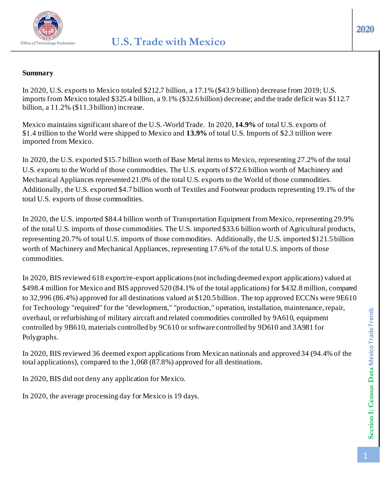

#### **Summary**

In 2020, U.S. exports to Mexico totaled \$212.7 billion, a 17.1% (\$43.9 billion) decrease from 2019; U.S. imports from Mexico totaled \$325.4 billion, a 9.1% (\$32.6 billion) decrease; and the trade deficit was \$112.7 billion, a 11.2% (\$11.3 billion) increase.

Mexico maintains significant share of the U.S.-World Trade. In 2020, **14.9%** of total U.S. exports of \$1.4 trillion to the World were shipped to Mexico and **13.9%** of total U.S. Imports of \$2.3 trillion were imported from Mexico.

In 2020, the U.S. exported \$15.7 billion worth of Base Metal items to Mexico, representing 27.2% of the total U.S. exports to the World of those commodities. The U.S. exports of \$72.6 billion worth of Machinery and Mechanical Appliances represented 21.0% of the total U.S. exports to the World of those commodities. Additionally, the U.S. exported \$4.7 billion worth of Textiles and Footwear products representing 19.1% of the total U.S. exports of those commodities.

In 2020, the U.S. imported \$84.4 billion worth of Transportation Equipment from Mexico, representing 29.9% of the total U.S. imports of those commodities. The U.S. imported \$33.6 billion worth of Agricultural products, representing 20.7% of total U.S. imports of those commodities. Additionally, the U.S. imported \$121.5 billion worth of Machinery and Mechanical Appliances, representing 17.6% of the total U.S. imports of those commodities.

In 2020, BIS reviewed 618 export/re-export applications (not including deemed export applications) valued at \$498.4 million for Mexico and BIS approved 520 (84.1% of the total applications) for \$432.8 million, compared to 32,996 (86.4%) approved for all destinations valued at \$120.5 billion. The top approved ECCNs were 9E610 for Technology "required" for the "development," "production," operation, installation, maintenance, repair, overhaul, or refurbishing of military aircraft and related commodities controlled by 9A610, equipment controlled by 9B610, materials controlled by 9C610 or software controlled by 9D610 and 3A981 for Polygraphs.

In 2020, BIS reviewed 36 deemed export applications from Mexican nationals and approved 34 (94.4% of the total applications), compared to the 1,068 (87.8%) approved for all destinations.

In 2020, BIS did not deny any application for Mexico.

In 2020, the average processing day for Mexico is 19 days.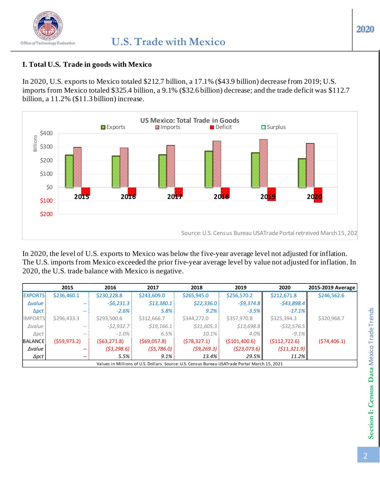## **I. Total U.S. Trade in goods with Mexico**

In 2020, U.S. exports to Mexico totaled \$212.7 billion, a 17.1% (\$43.9 billion) decrease from 2019; U.S. imports from Mexico totaled \$325.4 billion, a 9.1% (\$32.6 billion) decrease; and the trade deficit was \$112.7 billion, a 11.2% (\$11.3 billion) increase.



In 2020, the level of U.S. exports to Mexico was below the five-year average level not adjusted for inflation. The U.S. imports from Mexico exceeded the prior five-year average level by value not adjusted for inflation. In 2020, the U.S. trade balance with Mexico is negative.

|                | 2015                                                                                          | 2016         | 2017        | 2018         | 2019           | 2020            | 2015-2019 Average |  |  |  |  |
|----------------|-----------------------------------------------------------------------------------------------|--------------|-------------|--------------|----------------|-----------------|-------------------|--|--|--|--|
| <b>EXPORTS</b> | \$236,460.1                                                                                   | \$230,228.8  | \$243,609.0 | \$265,945.0  | \$256,570.2    | \$212,671.8     | \$246,562.6       |  |  |  |  |
| <b>Avalue</b>  | --                                                                                            | $-56,231.3$  | \$13,380.1  | \$22,336.0   | $-59,374.8$    | $-543,898.4$    |                   |  |  |  |  |
| $\Delta pct$   | --                                                                                            | $-2.6%$      | 5.8%        | 9.2%         | $-3.5%$        | $-17.1\%$       |                   |  |  |  |  |
| <b>IMPORTS</b> | \$296,433.3                                                                                   | \$293,500.6  | \$312,666.7 | \$344,272.0  | \$357,970.8    | \$325,394.3     | \$320,968.7       |  |  |  |  |
| $\Delta$ value | $- -$                                                                                         | $-52,932.7$  | \$19,166.1  | \$31,605.3   | \$13,698.8     | $-532,576.5$    |                   |  |  |  |  |
| $\Delta pct$   | $- -$                                                                                         | $-1.0\%$     | 6.5%        | 10.1%        | 4.0%           | $-9.1\%$        |                   |  |  |  |  |
| <b>BALANCE</b> | (559, 973.2)                                                                                  | (563, 271.8) | (569,057.8) | (578, 327.1) | ( \$101,400.6) | ( \$112, 722.6) | (574, 406.1)      |  |  |  |  |
| ∆value         | --                                                                                            | (53, 298.6)  | (55, 786.0) | (59, 269.3)  | (523, 073.6)   | (511, 321.9)    |                   |  |  |  |  |
| $\Delta pct$   | --                                                                                            | 5.5%         | $9.1\%$     | 13.4%        | 29.5%          | 11.2%           |                   |  |  |  |  |
|                | Values in Millions of U.S. Dollars. Source: U.S. Census Bureau USATrade Portal March 15, 2021 |              |             |              |                |                 |                   |  |  |  |  |

**2020**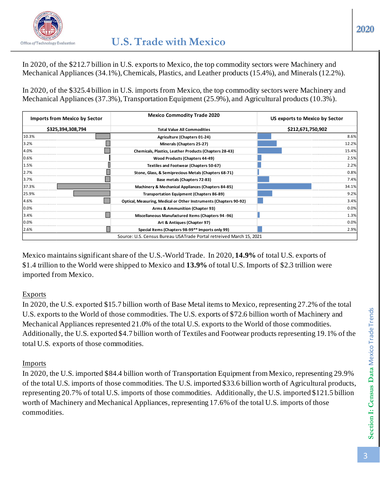

In 2020, of the \$212.7 billion in U.S. exports to Mexico, the top commodity sectors were Machinery and Mechanical Appliances (34.1%), Chemicals, Plastics, and Leather products (15.4%), and Minerals (12.2%).

In 2020, of the \$325.4 billion in U.S. imports from Mexico, the top commodity sectors were Machinery and Mechanical Appliances (37.3%), Transportation Equipment (25.9%), and Agricultural products (10.3%).

| <b>Imports from Mexico by Sector</b> | <b>Mexico Commodity Trade 2020</b>                                  | US exports to Mexico by Sector |
|--------------------------------------|---------------------------------------------------------------------|--------------------------------|
| \$325,394,308,794                    | <b>Total Value All Commodities</b>                                  | \$212,671,750,902              |
| 10.3%                                | Agriculture (Chapters 01-24)                                        | 8.6%                           |
| 3.2%                                 | Minerals (Chapters 25-27)                                           | 12.2%                          |
| 4.0%                                 | Chemicals, Plastics, Leather Products (Chapters 28-43)              | 15.4%                          |
| 0.6%                                 | Wood Products (Chapters 44-49)                                      | 2.5%                           |
| 1.5%                                 | Textiles and Footwear (Chapters 50-67)                              | 2.2%                           |
| 2.7%                                 | Stone, Glass, & Semiprecious Metals (Chapters 68-71)                | 0.8%                           |
| 3.7%<br><u></u>                      | Base metals (Chapters 72-83)                                        | 7.4%                           |
| 37.3%                                | Machinery & Mechanical Appliances (Chapters 84-85)                  | 34.1%                          |
| 25.9%                                | Transportation Equipment (Chapters 86-89)                           | 9.2%                           |
| 4.6%                                 | Optical, Measuring, Medical or Other Instruments (Chapters 90-92)   | 3.4%                           |
| 0.0%                                 | Arms & Ammunition (Chapter 93)                                      | $0.0\%$                        |
| 3.4%                                 | Miscellaneous Manufactured Items (Chapters 94 -96)                  | 1.3%                           |
| 0.0%                                 | Art & Antiques (Chapter 97)                                         | 0.0%                           |
| 2.6%                                 | Special Items (Chapters 98-99** Imports only 99)                    | 2.9%                           |
|                                      | Source: U.S. Census Bureau USATrade Portal retreived March 15, 2021 |                                |

Mexico maintains significant share of the U.S.-World Trade. In 2020, **14.9%** of total U.S. exports of \$1.4 trillion to the World were shipped to Mexico and **13.9%** of total U.S. Imports of \$2.3 trillion were imported from Mexico.

# Exports

In 2020, the U.S. exported \$15.7 billion worth of Base Metal items to Mexico, representing 27.2% of the total U.S. exports to the World of those commodities. The U.S. exports of \$72.6 billion worth of Machinery and Mechanical Appliances represented 21.0% of the total U.S. exports to the World of those commodities. Additionally, the U.S. exported \$4.7 billion worth of Textiles and Footwear products representing 19.1% of the total U.S. exports of those commodities.

### Imports

In 2020, the U.S. imported \$84.4 billion worth of Transportation Equipment from Mexico, representing 29.9% of the total U.S. imports of those commodities. The U.S. imported \$33.6 billion worth of Agricultural products, representing 20.7% of total U.S. imports of those commodities. Additionally, the U.S. imported \$121.5 billion worth of Machinery and Mechanical Appliances, representing 17.6% of the total U.S. imports of those commodities.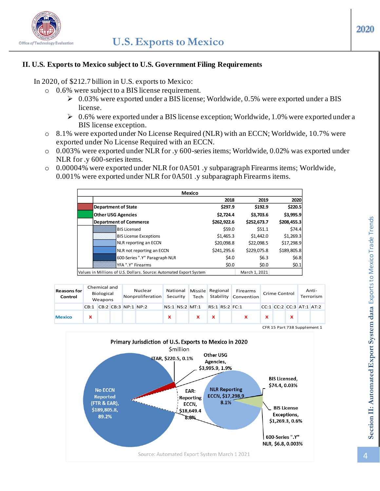

#### **II. U.S. Exports to Mexico subject to U.S. Government Filing Requirements**

In 2020, of \$212.7 billion in U.S. exports to Mexico:

- o 0.6% were subject to a BIS license requirement.
	- ➢ 0.03% were exported under a BIS license; Worldwide, 0.5% were exported under a BIS license.
	- $\geq 0.6\%$  were exported under a BIS license exception; Worldwide, 1.0% were exported under a BIS license exception.
- o 8.1% were exported under No License Required (NLR) with an ECCN; Worldwide, 10.7% were exported under No License Required with an ECCN.
- o 0.003% were exported under NLR for .y 600-series items; Worldwide, 0.02% was exported under NLR for .y 600-series items.
- o 0.00004% were exported under NLR for 0A501 .y subparagraph Firearms items; Worldwide, 0.001% were exported under NLR for 0A501 .y subparagraph Firearms items.

| Mexico                                                                               |             |             |             |  |  |  |  |  |  |  |
|--------------------------------------------------------------------------------------|-------------|-------------|-------------|--|--|--|--|--|--|--|
|                                                                                      | 2018        | 2019        | 2020        |  |  |  |  |  |  |  |
| <b>Department of State</b>                                                           | \$297.9     | \$192.9     | \$220.5     |  |  |  |  |  |  |  |
| <b>Other USG Agencies</b>                                                            | \$2,724.4   | \$3,703.6   | \$3,995.9   |  |  |  |  |  |  |  |
| <b>Department of Commerce</b>                                                        | \$262,922.6 | \$252,673.7 | \$208,455.3 |  |  |  |  |  |  |  |
| <b>BIS Licensed</b>                                                                  | \$59.0      | \$51.1      | \$74.4      |  |  |  |  |  |  |  |
| <b>BIS License Exceptions</b>                                                        | \$1,465.3   | \$1,442.0   | \$1,269.3   |  |  |  |  |  |  |  |
| NLR reporting an ECCN                                                                | \$20,098.8  | \$22,098.5  | \$17,298.9  |  |  |  |  |  |  |  |
| NLR not reporting an ECCN                                                            | \$241,295.6 | \$229,075.8 | \$189,805.8 |  |  |  |  |  |  |  |
| 600-Series ".Y" Paragraph NLR                                                        | \$4.0       | \$6.3       | \$6.8       |  |  |  |  |  |  |  |
| YFA ".Y" Firearms                                                                    | \$0.0       | \$0.0\$     | \$0.1       |  |  |  |  |  |  |  |
| Values in Millions of U.S. Dollars. Source: Automated Export System<br>March 1, 2021 |             |             |             |  |  |  |  |  |  |  |

| <b>Reasons for</b><br>Control | Chemical and<br>Biological<br>Weapons |  |  | Nuclear<br>Nonproliferation | National<br>Security |          | Missile Regional<br>Tech |                | Firearms<br>Stability Convention | Crime Control  |  | Anti-<br>Terrorism |                          |  |  |
|-------------------------------|---------------------------------------|--|--|-----------------------------|----------------------|----------|--------------------------|----------------|----------------------------------|----------------|--|--------------------|--------------------------|--|--|
|                               | CB:1                                  |  |  | CB:2 CB:3 NP:1 NP:2         |                      |          |                          | NS:1 NS:2 MT:1 |                                  | RS:1 RS:2 FC:1 |  |                    | CC:1 CC:2 CC:3 AT:1 AT:2 |  |  |
| <b>Mexico</b>                 | x                                     |  |  |                             |                      | <b>x</b> |                          |                | ×                                |                |  |                    |                          |  |  |
|                               |                                       |  |  |                             |                      |          |                          |                |                                  |                |  |                    |                          |  |  |

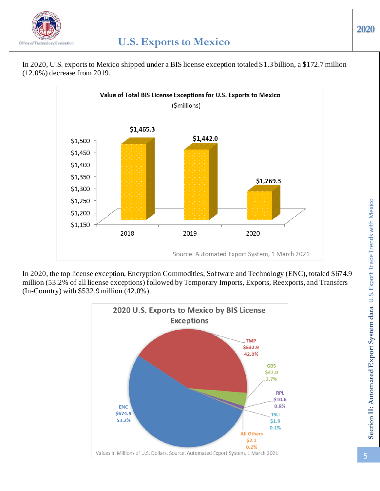





In 2020, the top license exception, Encryption Commodities, Software and Technology (ENC), totaled \$674.9 million (53.2% of all license exceptions) followed by Temporary Imports, Exports, Reexports, and Transfers (In-Country) with \$532.9 million (42.0%).

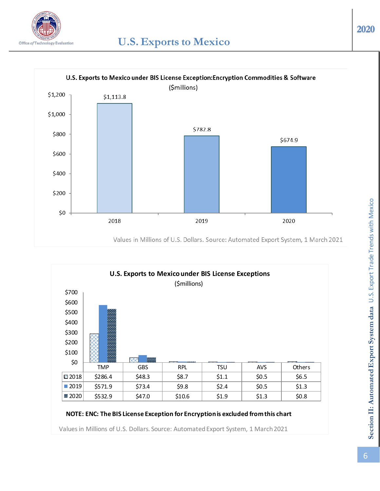





#### **NOTE: ENC: The BIS License Exception for Encryption is excluded from this chart**

Values in Millions of U.S. Dollars. Source: Automated Export System, 1 March 2021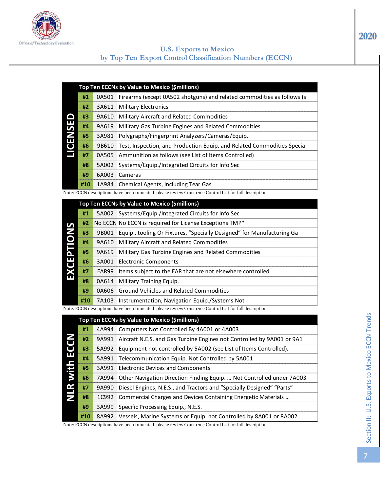

## **U.S. Exports to Mexico by Top Ten Export Control Classification Numbers (ECCN)**

|   | Top Ten ECCNs by Value to Mexico (\$millions) |  |                                                                              |  |  |  |  |  |  |  |
|---|-----------------------------------------------|--|------------------------------------------------------------------------------|--|--|--|--|--|--|--|
|   | #1                                            |  | 0A501 Firearms (except 0A502 shotguns) and related commodities as follows (s |  |  |  |  |  |  |  |
|   | #2                                            |  | 3A611 Military Electronics                                                   |  |  |  |  |  |  |  |
|   | #3                                            |  | 9A610 Military Aircraft and Related Commodities                              |  |  |  |  |  |  |  |
|   | #4                                            |  | 9A619 Military Gas Turbine Engines and Related Commodities                   |  |  |  |  |  |  |  |
| Ν | #5                                            |  | 3A981 Polygraphs/Fingerprint Analyzers/Cameras/Equip.                        |  |  |  |  |  |  |  |
|   | #6                                            |  | 9B610 Test, Inspection, and Production Equip. and Related Commodities Specia |  |  |  |  |  |  |  |
|   | #7                                            |  | 0A505 Ammunition as follows (see List of Items Controlled)                   |  |  |  |  |  |  |  |
|   | #8                                            |  | 5A002 Systems/Equip./Integrated Circuits for Info Sec                        |  |  |  |  |  |  |  |
|   | #9                                            |  | 6A003 Cameras                                                                |  |  |  |  |  |  |  |
|   | #10                                           |  | 1A984 Chemical Agents, Including Tear Gas                                    |  |  |  |  |  |  |  |

|          | Top Ten ECCNs by Value to Mexico (\$millions) |  |                                                                              |  |  |  |  |  |  |  |
|----------|-----------------------------------------------|--|------------------------------------------------------------------------------|--|--|--|--|--|--|--|
|          | #1                                            |  | 5A002 Systems/Equip./Integrated Circuits for Info Sec                        |  |  |  |  |  |  |  |
|          | #2                                            |  | No ECCN No ECCN is required for License Exceptions TMP*                      |  |  |  |  |  |  |  |
| N        | #3                                            |  | 9B001 Equip., tooling Or Fixtures, "Specially Designed" for Manufacturing Ga |  |  |  |  |  |  |  |
| <u>o</u> | #4                                            |  | 9A610 Military Aircraft and Related Commodities                              |  |  |  |  |  |  |  |
| Δ        | #5                                            |  | 9A619 Military Gas Turbine Engines and Related Commodities                   |  |  |  |  |  |  |  |
|          | #6                                            |  | <b>3A001</b> Electronic Components                                           |  |  |  |  |  |  |  |
|          | #7                                            |  | <b>EAR99</b> Items subject to the EAR that are not elsewhere controlled      |  |  |  |  |  |  |  |
|          | #8                                            |  | 0A614 Military Training Equip.                                               |  |  |  |  |  |  |  |
|          | #9                                            |  | 0A606 Ground Vehicles and Related Commodities                                |  |  |  |  |  |  |  |
|          | #10                                           |  | 7A103 Instrumentation, Navigation Equip./Systems Not                         |  |  |  |  |  |  |  |

|                 |     |       | Top Ten ECCNs by Value to Mexico (\$millions)                                                         |
|-----------------|-----|-------|-------------------------------------------------------------------------------------------------------|
|                 | #1  |       | 0A501 Firearms (except 0A502 shotguns) and related commodities as follows (s                          |
|                 | #2  | 3A611 | <b>Military Electronics</b>                                                                           |
| ▬               | #3  | 9A610 | Military Aircraft and Related Commodities                                                             |
|                 | #4  | 9A619 | Military Gas Turbine Engines and Related Commodities                                                  |
|                 | #5  | 3A981 | Polygraphs/Fingerprint Analyzers/Cameras/Equip.                                                       |
| <b>LICENSE</b>  | #6  | 9B610 | Test, Inspection, and Production Equip. and Related Commodities Specia                                |
|                 | #7  | 0A505 | Ammunition as follows (see List of Items Controlled)                                                  |
|                 | #8  | 5A002 | Systems/Equip./Integrated Circuits for Info Sec                                                       |
|                 | #9  | 6A003 | Cameras                                                                                               |
|                 | #10 | 1A984 | Chemical Agents, Including Tear Gas                                                                   |
|                 |     |       | Note: ECCN descriptions have been truncated: please review Commerce Control List for full description |
|                 |     |       | Top Ten ECCNs by Value to Mexico (\$millions)                                                         |
|                 | #1  |       | 5A002 Systems/Equip./Integrated Circuits for Info Sec                                                 |
|                 | #2  |       | No ECCN No ECCN is required for License Exceptions TMP*                                               |
|                 | #3  |       | 9B001 Equip., tooling Or Fixtures, "Specially Designed" for Manufacturing Ga                          |
|                 | #4  | 9A610 | Military Aircraft and Related Commodities                                                             |
|                 | #5  | 9A619 | Military Gas Turbine Engines and Related Commodities                                                  |
|                 | #6  |       | 3A001 Electronic Components                                                                           |
| EXCEPTIONS      | #7  | EAR99 | Items subject to the EAR that are not elsewhere controlled                                            |
|                 | #8  | 0A614 | Military Training Equip.                                                                              |
|                 | #9  | 0A606 | Ground Vehicles and Related Commodities                                                               |
|                 | #10 | 7A103 | Instrumentation, Navigation Equip./Systems Not                                                        |
|                 |     |       | Note: ECCN descriptions have been truncated: please review Commerce Control List for full description |
|                 |     |       | Top Ten ECCNs by Value to Mexico (\$millions)                                                         |
|                 | #1  |       | 4A994 Computers Not Controlled By 4A001 or 4A003                                                      |
| č               | #2  |       | 9A991 Aircraft N.E.S. and Gas Turbine Engines not Controlled by 9A001 or 9A1                          |
|                 | #3  |       | 5A992 Equipment not controlled by 5A002 (see List of Items Controlled).                               |
| $\blacksquare$  | #4  | 5A991 | Telecommunication Equip. Not Controlled by 5A001                                                      |
|                 | #5  | 3A991 | <b>Electronic Devices and Components</b>                                                              |
|                 | #6  | 7A994 | Other Navigation Direction Finding Equip.  Not Controlled under 7A003                                 |
| <b>NLR witl</b> | #7  | 9A990 | Diesel Engines, N.E.S., and Tractors and "Specially Designed" "Parts"                                 |
|                 | #8  | 1C992 | Commercial Charges and Devices Containing Energetic Materials                                         |
|                 | #9  | 3A999 | Specific Processing Equip., N.E.S.                                                                    |
|                 | #10 | 8A992 | Vessels, Marine Systems or Equip. not Controlled by 8A001 or 8A002                                    |
|                 |     |       | Note: ECCN descriptions have been truncated: please review Commerce Control List for full description |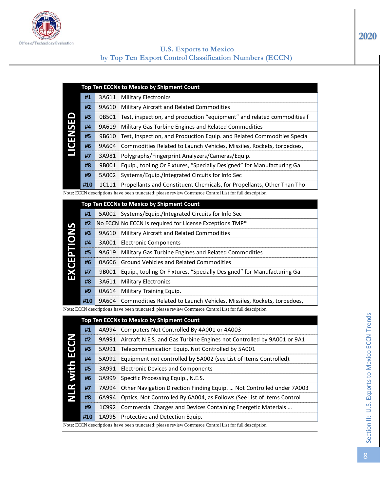

|        |     |       | Top Ten ECCNs to Mexico by Shipment Count                                    |
|--------|-----|-------|------------------------------------------------------------------------------|
|        | #1  |       | 3A611 Military Electronics                                                   |
|        | #2  | 9A610 | <b>Military Aircraft and Related Commodities</b>                             |
| ◘<br>ш | #3  |       | 0B501 Test, inspection, and production "equipment" and related commodities f |
| S      | #4  |       | 9A619 Military Gas Turbine Engines and Related Commodities                   |
| EN     | #5  |       | 9B610 Test, Inspection, and Production Equip. and Related Commodities Specia |
| Ő      | #6  |       | 9A604 Commodities Related to Launch Vehicles, Missiles, Rockets, torpedoes,  |
|        | #7  |       | 3A981 Polygraphs/Fingerprint Analyzers/Cameras/Equip.                        |
|        | #8  | 9B001 | Equip., tooling Or Fixtures, "Specially Designed" for Manufacturing Ga       |
|        | #9  | 5A002 | Systems/Equip./Integrated Circuits for Info Sec                              |
|        | #10 |       | 1C111 Propellants and Constituent Chemicals, for Propellants, Other Than Tho |

|   | <b>Top Ten ECCNs to Mexico by Shipment Count</b> |                                                       |                                                                              |  |  |  |  |  |  |  |
|---|--------------------------------------------------|-------------------------------------------------------|------------------------------------------------------------------------------|--|--|--|--|--|--|--|
|   | #1                                               | 5A002 Systems/Equip./Integrated Circuits for Info Sec |                                                                              |  |  |  |  |  |  |  |
| ທ | #2                                               |                                                       | No ECCN No ECCN is required for License Exceptions TMP*                      |  |  |  |  |  |  |  |
| N | #3                                               |                                                       | 9A610 Military Aircraft and Related Commodities                              |  |  |  |  |  |  |  |
|   | #4                                               |                                                       | 3A001 Electronic Components                                                  |  |  |  |  |  |  |  |
| Λ | #5                                               |                                                       | 9A619 Military Gas Turbine Engines and Related Commodities                   |  |  |  |  |  |  |  |
|   | #6                                               |                                                       | 0A606 Ground Vehicles and Related Commodities                                |  |  |  |  |  |  |  |
|   | #7                                               |                                                       | 9B001 Equip., tooling Or Fixtures, "Specially Designed" for Manufacturing Ga |  |  |  |  |  |  |  |
| ய | #8                                               |                                                       | <b>3A611 Military Electronics</b>                                            |  |  |  |  |  |  |  |
|   | #9                                               |                                                       | 0A614 Military Training Equip.                                               |  |  |  |  |  |  |  |
|   | #10                                              |                                                       | 9A604 Commodities Related to Launch Vehicles, Missiles, Rockets, torpedoes,  |  |  |  |  |  |  |  |

|                      | #3  | 0B501 | Test, inspection, and production "equipment" and related commodities f                                |  |  |  |  |  |  |  |  |
|----------------------|-----|-------|-------------------------------------------------------------------------------------------------------|--|--|--|--|--|--|--|--|
| <b>LICENSED</b>      | #4  | 9A619 | Military Gas Turbine Engines and Related Commodities                                                  |  |  |  |  |  |  |  |  |
|                      | #5  | 9B610 | Test, Inspection, and Production Equip. and Related Commodities Specia                                |  |  |  |  |  |  |  |  |
|                      | #6  | 9A604 | Commodities Related to Launch Vehicles, Missiles, Rockets, torpedoes,                                 |  |  |  |  |  |  |  |  |
|                      | #7  | 3A981 | Polygraphs/Fingerprint Analyzers/Cameras/Equip.                                                       |  |  |  |  |  |  |  |  |
|                      | #8  | 9B001 | Equip., tooling Or Fixtures, "Specially Designed" for Manufacturing Ga                                |  |  |  |  |  |  |  |  |
|                      | #9  | 5A002 | Systems/Equip./Integrated Circuits for Info Sec                                                       |  |  |  |  |  |  |  |  |
|                      | #10 | 1C111 | Propellants and Constituent Chemicals, for Propellants, Other Than Tho                                |  |  |  |  |  |  |  |  |
|                      |     |       | Note: ECCN descriptions have been truncated: please review Commerce Control List for full description |  |  |  |  |  |  |  |  |
|                      |     |       | Top Ten ECCNs to Mexico by Shipment Count                                                             |  |  |  |  |  |  |  |  |
|                      | #1  |       | 5A002 Systems/Equip./Integrated Circuits for Info Sec                                                 |  |  |  |  |  |  |  |  |
|                      | #2  |       | No ECCN No ECCN is required for License Exceptions TMP*                                               |  |  |  |  |  |  |  |  |
| <b>EXCEPTIONS</b>    | #3  | 9A610 | Military Aircraft and Related Commodities                                                             |  |  |  |  |  |  |  |  |
|                      | #4  | 3A001 | <b>Electronic Components</b>                                                                          |  |  |  |  |  |  |  |  |
|                      | #5  | 9A619 | Military Gas Turbine Engines and Related Commodities                                                  |  |  |  |  |  |  |  |  |
|                      | #6  | 0A606 | Ground Vehicles and Related Commodities                                                               |  |  |  |  |  |  |  |  |
|                      | #7  | 9B001 | Equip., tooling Or Fixtures, "Specially Designed" for Manufacturing Ga                                |  |  |  |  |  |  |  |  |
|                      | #8  | 3A611 | <b>Military Electronics</b>                                                                           |  |  |  |  |  |  |  |  |
|                      | #9  | 0A614 | Military Training Equip.                                                                              |  |  |  |  |  |  |  |  |
|                      | #10 | 9A604 | Commodities Related to Launch Vehicles, Missiles, Rockets, torpedoes,                                 |  |  |  |  |  |  |  |  |
|                      |     |       | Note: ECCN descriptions have been truncated: please review Commerce Control List for full description |  |  |  |  |  |  |  |  |
|                      |     |       | Top Ten ECCNs to Mexico by Shipment Count                                                             |  |  |  |  |  |  |  |  |
|                      | #1  | 4A994 | Computers Not Controlled By 4A001 or 4A003                                                            |  |  |  |  |  |  |  |  |
|                      | #2  | 9A991 | Aircraft N.E.S. and Gas Turbine Engines not Controlled by 9A001 or 9A1                                |  |  |  |  |  |  |  |  |
|                      | #3  | 5A991 | Telecommunication Equip. Not Controlled by 5A001                                                      |  |  |  |  |  |  |  |  |
|                      | #4  | 5A992 | Equipment not controlled by 5A002 (see List of Items Controlled).                                     |  |  |  |  |  |  |  |  |
|                      | #5  | 3A991 | <b>Electronic Devices and Components</b>                                                              |  |  |  |  |  |  |  |  |
|                      | #6  | 3A999 | Specific Processing Equip., N.E.S.                                                                    |  |  |  |  |  |  |  |  |
| <b>NLR with ECCN</b> | #7  | 7A994 | Other Navigation Direction Finding Equip.  Not Controlled under 7A003                                 |  |  |  |  |  |  |  |  |
|                      | #8  | 6A994 | Optics, Not Controlled By 6A004, as Follows (See List of Items Control                                |  |  |  |  |  |  |  |  |
|                      | #9  | 1C992 | Commercial Charges and Devices Containing Energetic Materials                                         |  |  |  |  |  |  |  |  |
|                      | #10 | 1A995 | Protective and Detection Equip.                                                                       |  |  |  |  |  |  |  |  |
|                      |     |       | Note: ECCN descriptions have been truncated: please review Commerce Control List for full description |  |  |  |  |  |  |  |  |

Section II: U.S. Exports to Mexico ECCN Trends Section II: U.S. Exports to Mexico ECCN Trends

**2020**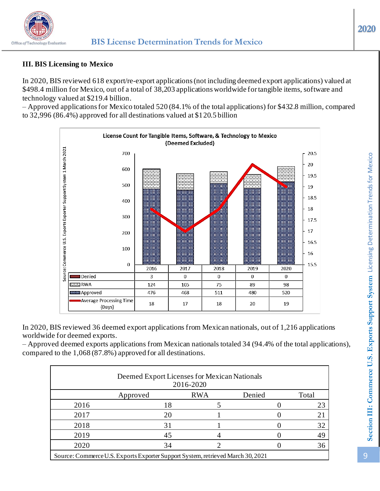

# **III. BIS Licensing to Mexico**

In 2020, BIS reviewed 618 export/re-export applications (not including deemed export applications) valued at \$498.4 million for Mexico, out of a total of 38,203 applications worldwide for tangible items, software and technology valued at \$219.4 billion.

– Approved applications for Mexico totaled 520 (84.1% of the total applications) for \$432.8 million, compared to 32,996 (86.4%) approved for all destinations valued at \$120.5 billion



In 2020, BIS reviewed 36 deemed export applications from Mexican nationals, out of 1,216 applications worldwide for deemed exports.

– Approved deemed exports applications from Mexican nationals totaled 34 (94.4% of the total applications), compared to the 1,068 (87.8%) approved for all destinations.

| Deemed Export Licenses for Mexican Nationals<br>2016-2020                       |          |            |  |        |       |  |  |  |  |  |  |  |
|---------------------------------------------------------------------------------|----------|------------|--|--------|-------|--|--|--|--|--|--|--|
|                                                                                 | Approved | <b>RWA</b> |  | Denied | Total |  |  |  |  |  |  |  |
| 2016                                                                            |          |            |  |        | 23    |  |  |  |  |  |  |  |
| 2017                                                                            | 20       |            |  |        |       |  |  |  |  |  |  |  |
| 2018                                                                            | 31       |            |  |        | 32    |  |  |  |  |  |  |  |
| 2019                                                                            | 45       |            |  |        | 49    |  |  |  |  |  |  |  |
| 2020                                                                            | 34       |            |  |        | 36    |  |  |  |  |  |  |  |
| Source: Commerce U.S. Exports Exporter Support System, retrieved March 30, 2021 |          |            |  |        |       |  |  |  |  |  |  |  |

Section III: Commerce U.S. Exports Support System Licensing Determination Trends for Mexico **Section III: Commerce U.S. Exports Support System** Licensing Determination Trends for Mexico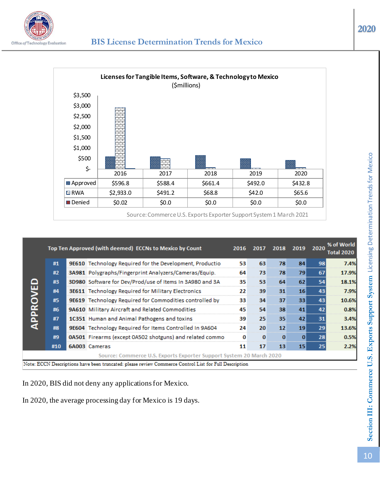

|                 |     | Top Ten Approved (with deemed) ECCNs to Mexico by Count                                                                                                                      | 2016     |    | 2017 2018 2019 2020 |                 |    | % of World<br>Total 2020 |
|-----------------|-----|------------------------------------------------------------------------------------------------------------------------------------------------------------------------------|----------|----|---------------------|-----------------|----|--------------------------|
|                 | #1  | 9E610 Technology Required for the Development, Productio                                                                                                                     | 53       | 63 | 78                  | 84              | 98 | 7.4%                     |
|                 | #2  | 3A981 Polygraphs/Fingerprint Analyzers/Cameras/Equip.                                                                                                                        | 64       | 73 | 78                  | 79              | 67 | 17.9%                    |
|                 | #3  | 3D980 Software for Dev/Prod/use of Items In 3A980 and 3A                                                                                                                     | 35       | 53 | 64                  | 62              | 54 | 18.1%                    |
| <b>APPROVED</b> | #4  | <b>3E611</b> Technology Required for Military Electronics                                                                                                                    | 22       | 39 | 31                  | 16              | 43 | 7.9%                     |
|                 | #5  | 9E619 Technology Required for Commodities controlled by                                                                                                                      | 33       | 34 | 37                  | 33 <sub>1</sub> | 43 | 10.6%                    |
|                 | #6  | 9A610 Military Aircraft and Related Commodities                                                                                                                              | 45       | 54 | 38                  | 41              | 42 | 0.8%                     |
|                 | #7  | 1C351 Human and Animal Pathogens and toxins                                                                                                                                  | 39       | 25 | 35                  | 42              | 31 | 3.4%                     |
|                 | #8  | 9E604 Technology Required for Items Controlled In 9A604                                                                                                                      | 24       | 20 | 12                  | 19              | 29 | 13.6%                    |
|                 | #9  | 0A501 Firearms (except 0A502 shotguns) and related commo                                                                                                                     | $\Omega$ | 0  | 0                   | 0               | 28 | 0.5%                     |
|                 | #10 | 6A003 Cameras                                                                                                                                                                | 11       | 17 | 13                  | 15              | 25 | 2.2%                     |
|                 |     | Source: Commerce U.S. Exports Exporter Support System 20 March 2020<br>Note: ECCN Descriptions have been truncated: please review Commerce Control List for Full Description |          |    |                     |                 |    |                          |

In 2020, BIS did not deny any applications for Mexico.

In 2020, the average processing day for Mexico is 19 days.